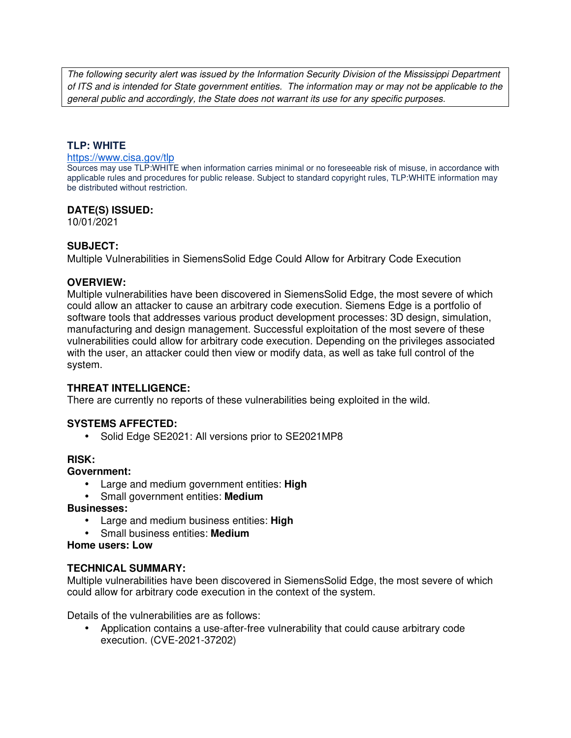The following security alert was issued by the Information Security Division of the Mississippi Department of ITS and is intended for State government entities. The information may or may not be applicable to the general public and accordingly, the State does not warrant its use for any specific purposes.

## **TLP: WHITE**

#### https://www.cisa.gov/tlp

Sources may use TLP:WHITE when information carries minimal or no foreseeable risk of misuse, in accordance with applicable rules and procedures for public release. Subject to standard copyright rules, TLP:WHITE information may be distributed without restriction.

## **DATE(S) ISSUED:**

10/01/2021

## **SUBJECT:**

Multiple Vulnerabilities in SiemensSolid Edge Could Allow for Arbitrary Code Execution

### **OVERVIEW:**

Multiple vulnerabilities have been discovered in SiemensSolid Edge, the most severe of which could allow an attacker to cause an arbitrary code execution. Siemens Edge is a portfolio of software tools that addresses various product development processes: 3D design, simulation, manufacturing and design management. Successful exploitation of the most severe of these vulnerabilities could allow for arbitrary code execution. Depending on the privileges associated with the user, an attacker could then view or modify data, as well as take full control of the system.

## **THREAT INTELLIGENCE:**

There are currently no reports of these vulnerabilities being exploited in the wild.

## **SYSTEMS AFFECTED:**

• Solid Edge SE2021: All versions prior to SE2021MP8

#### **RISK:**

#### **Government:**

- Large and medium government entities: **High**
- Small government entities: **Medium**

#### **Businesses:**

- Large and medium business entities: **High**
- Small business entities: **Medium**

#### **Home users: Low**

## **TECHNICAL SUMMARY:**

Multiple vulnerabilities have been discovered in SiemensSolid Edge, the most severe of which could allow for arbitrary code execution in the context of the system.

Details of the vulnerabilities are as follows:

• Application contains a use-after-free vulnerability that could cause arbitrary code execution. (CVE-2021-37202)